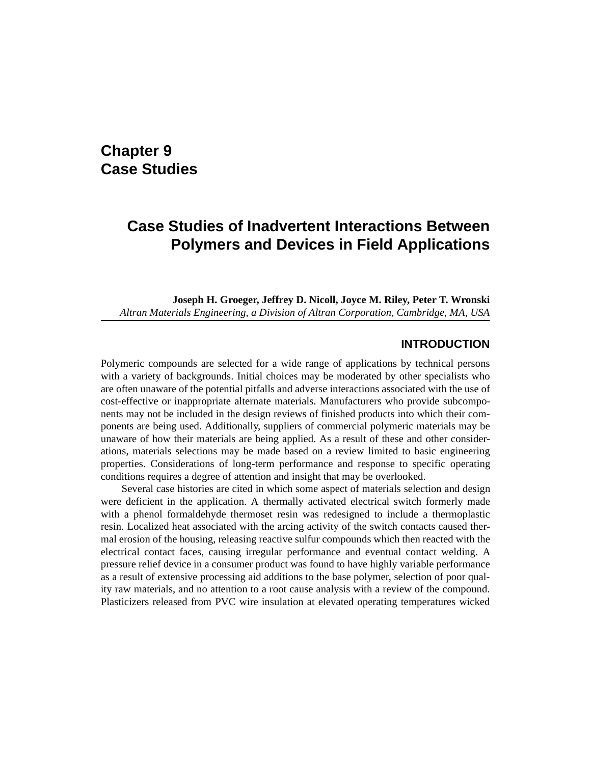# **Chapter 9 Case Studies**

# **Case Studies of Inadvertent Interactions Between Polymers and Devices in Field Applications**

**Joseph H. Groeger, Jeffrey D. Nicoll, Joyce M. Riley, Peter T. Wronski** *Altran Materials Engineering, a Division of Altran Corporation, Cambridge, MA, USA*

## **INTRODUCTION**

Polymeric compounds are selected for a wide range of applications by technical persons with a variety of backgrounds. Initial choices may be moderated by other specialists who are often unaware of the potential pitfalls and adverse interactions associated with the use of cost-effective or inappropriate alternate materials. Manufacturers who provide subcomponents may not be included in the design reviews of finished products into which their components are being used. Additionally, suppliers of commercial polymeric materials may be unaware of how their materials are being applied. As a result of these and other considerations, materials selections may be made based on a review limited to basic engineering properties. Considerations of long-term performance and response to specific operating conditions requires a degree of attention and insight that may be overlooked.

Several case histories are cited in which some aspect of materials selection and design were deficient in the application. A thermally activated electrical switch formerly made with a phenol formaldehyde thermoset resin was redesigned to include a thermoplastic resin. Localized heat associated with the arcing activity of the switch contacts caused thermal erosion of the housing, releasing reactive sulfur compounds which then reacted with the electrical contact faces, causing irregular performance and eventual contact welding. A pressure relief device in a consumer product was found to have highly variable performance as a result of extensive processing aid additions to the base polymer, selection of poor quality raw materials, and no attention to a root cause analysis with a review of the compound. Plasticizers released from PVC wire insulation at elevated operating temperatures wicked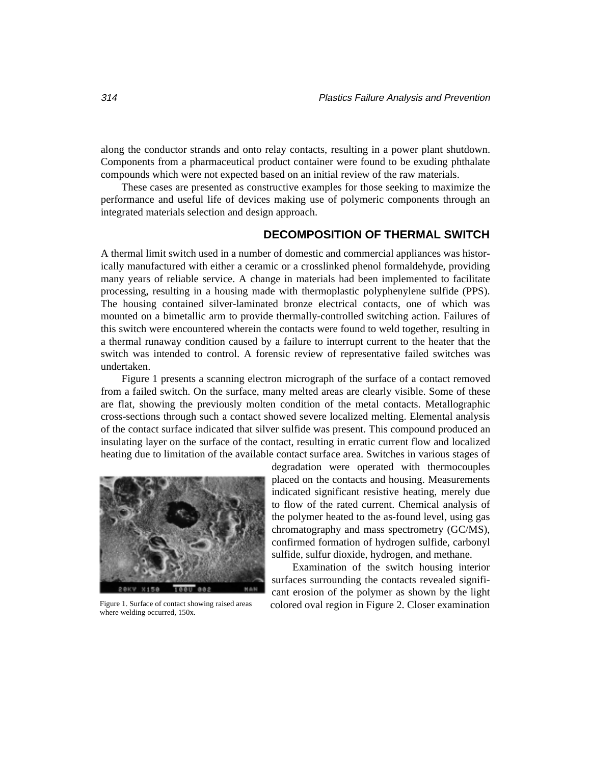along the conductor strands and onto relay contacts, resulting in a power plant shutdown. Components from a pharmaceutical product container were found to be exuding phthalate compounds which were not expected based on an initial review of the raw materials.

These cases are presented as constructive examples for those seeking to maximize the performance and useful life of devices making use of polymeric components through an integrated materials selection and design approach.

## **DECOMPOSITION OF THERMAL SWITCH**

A thermal limit switch used in a number of domestic and commercial appliances was historically manufactured with either a ceramic or a crosslinked phenol formaldehyde, providing many years of reliable service. A change in materials had been implemented to facilitate processing, resulting in a housing made with thermoplastic polyphenylene sulfide (PPS). The housing contained silver-laminated bronze electrical contacts, one of which was mounted on a bimetallic arm to provide thermally-controlled switching action. Failures of this switch were encountered wherein the contacts were found to weld together, resulting in a thermal runaway condition caused by a failure to interrupt current to the heater that the switch was intended to control. A forensic review of representative failed switches was undertaken.

Figure 1 presents a scanning electron micrograph of the surface of a contact removed from a failed switch. On the surface, many melted areas are clearly visible. Some of these are flat, showing the previously molten condition of the metal contacts. Metallographic cross-sections through such a contact showed severe localized melting. Elemental analysis of the contact surface indicated that silver sulfide was present. This compound produced an insulating layer on the surface of the contact, resulting in erratic current flow and localized heating due to limitation of the available contact surface area. Switches in various stages of



where welding occurred, 150x.

degradation were operated with thermocouples placed on the contacts and housing. Measurements indicated significant resistive heating, merely due to flow of the rated current. Chemical analysis of the polymer heated to the as-found level, using gas chromatography and mass spectrometry (GC/MS), confirmed formation of hydrogen sulfide, carbonyl sulfide, sulfur dioxide, hydrogen, and methane.

Examination of the switch housing interior surfaces surrounding the contacts revealed significant erosion of the polymer as shown by the light Figure 1. Surface of contact showing raised areas colored oval region in Figure 2. Closer examination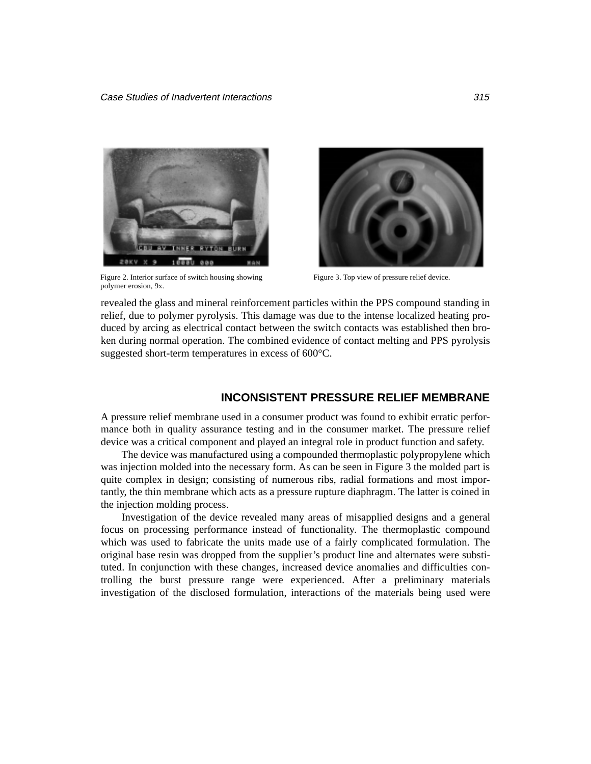

Figure 2. Interior surface of switch housing showing polymer erosion, 9x.



Figure 3. Top view of pressure relief device.

revealed the glass and mineral reinforcement particles within the PPS compound standing in relief, due to polymer pyrolysis. This damage was due to the intense localized heating produced by arcing as electrical contact between the switch contacts was established then broken during normal operation. The combined evidence of contact melting and PPS pyrolysis suggested short-term temperatures in excess of 600°C.

## **INCONSISTENT PRESSURE RELIEF MEMBRANE**

A pressure relief membrane used in a consumer product was found to exhibit erratic performance both in quality assurance testing and in the consumer market. The pressure relief device was a critical component and played an integral role in product function and safety.

The device was manufactured using a compounded thermoplastic polypropylene which was injection molded into the necessary form. As can be seen in Figure 3 the molded part is quite complex in design; consisting of numerous ribs, radial formations and most importantly, the thin membrane which acts as a pressure rupture diaphragm. The latter is coined in the injection molding process.

Investigation of the device revealed many areas of misapplied designs and a general focus on processing performance instead of functionality. The thermoplastic compound which was used to fabricate the units made use of a fairly complicated formulation. The original base resin was dropped from the supplier's product line and alternates were substituted. In conjunction with these changes, increased device anomalies and difficulties controlling the burst pressure range were experienced. After a preliminary materials investigation of the disclosed formulation, interactions of the materials being used were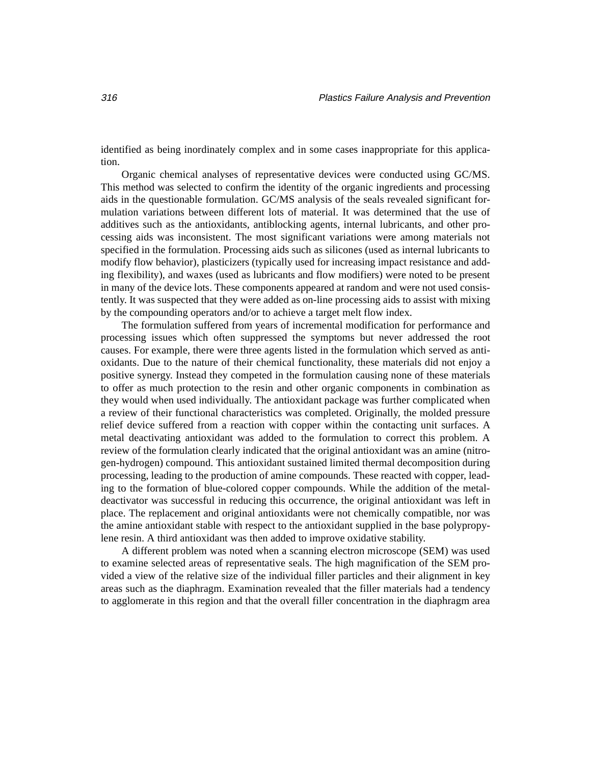identified as being inordinately complex and in some cases inappropriate for this application.

Organic chemical analyses of representative devices were conducted using GC/MS. This method was selected to confirm the identity of the organic ingredients and processing aids in the questionable formulation. GC/MS analysis of the seals revealed significant formulation variations between different lots of material. It was determined that the use of additives such as the antioxidants, antiblocking agents, internal lubricants, and other processing aids was inconsistent. The most significant variations were among materials not specified in the formulation. Processing aids such as silicones (used as internal lubricants to modify flow behavior), plasticizers (typically used for increasing impact resistance and adding flexibility), and waxes (used as lubricants and flow modifiers) were noted to be present in many of the device lots. These components appeared at random and were not used consistently. It was suspected that they were added as on-line processing aids to assist with mixing by the compounding operators and/or to achieve a target melt flow index.

The formulation suffered from years of incremental modification for performance and processing issues which often suppressed the symptoms but never addressed the root causes. For example, there were three agents listed in the formulation which served as antioxidants. Due to the nature of their chemical functionality, these materials did not enjoy a positive synergy. Instead they competed in the formulation causing none of these materials to offer as much protection to the resin and other organic components in combination as they would when used individually. The antioxidant package was further complicated when a review of their functional characteristics was completed. Originally, the molded pressure relief device suffered from a reaction with copper within the contacting unit surfaces. A metal deactivating antioxidant was added to the formulation to correct this problem. A review of the formulation clearly indicated that the original antioxidant was an amine (nitrogen-hydrogen) compound. This antioxidant sustained limited thermal decomposition during processing, leading to the production of amine compounds. These reacted with copper, leading to the formation of blue-colored copper compounds. While the addition of the metaldeactivator was successful in reducing this occurrence, the original antioxidant was left in place. The replacement and original antioxidants were not chemically compatible, nor was the amine antioxidant stable with respect to the antioxidant supplied in the base polypropylene resin. A third antioxidant was then added to improve oxidative stability.

A different problem was noted when a scanning electron microscope (SEM) was used to examine selected areas of representative seals. The high magnification of the SEM provided a view of the relative size of the individual filler particles and their alignment in key areas such as the diaphragm. Examination revealed that the filler materials had a tendency to agglomerate in this region and that the overall filler concentration in the diaphragm area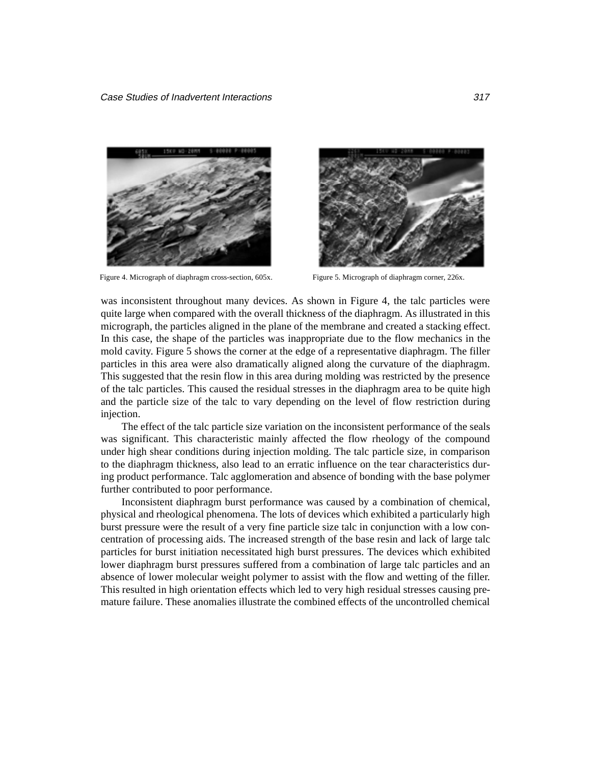

Figure 4. Micrograph of diaphragm cross-section, 605x. Figure 5. Micrograph of diaphragm corner, 226x.



was inconsistent throughout many devices. As shown in Figure 4, the talc particles were quite large when compared with the overall thickness of the diaphragm. As illustrated in this micrograph, the particles aligned in the plane of the membrane and created a stacking effect. In this case, the shape of the particles was inappropriate due to the flow mechanics in the mold cavity. Figure 5 shows the corner at the edge of a representative diaphragm. The filler particles in this area were also dramatically aligned along the curvature of the diaphragm. This suggested that the resin flow in this area during molding was restricted by the presence of the talc particles. This caused the residual stresses in the diaphragm area to be quite high and the particle size of the talc to vary depending on the level of flow restriction during injection.

The effect of the talc particle size variation on the inconsistent performance of the seals was significant. This characteristic mainly affected the flow rheology of the compound under high shear conditions during injection molding. The talc particle size, in comparison to the diaphragm thickness, also lead to an erratic influence on the tear characteristics during product performance. Talc agglomeration and absence of bonding with the base polymer further contributed to poor performance.

Inconsistent diaphragm burst performance was caused by a combination of chemical, physical and rheological phenomena. The lots of devices which exhibited a particularly high burst pressure were the result of a very fine particle size talc in conjunction with a low concentration of processing aids. The increased strength of the base resin and lack of large talc particles for burst initiation necessitated high burst pressures. The devices which exhibited lower diaphragm burst pressures suffered from a combination of large talc particles and an absence of lower molecular weight polymer to assist with the flow and wetting of the filler. This resulted in high orientation effects which led to very high residual stresses causing premature failure. These anomalies illustrate the combined effects of the uncontrolled chemical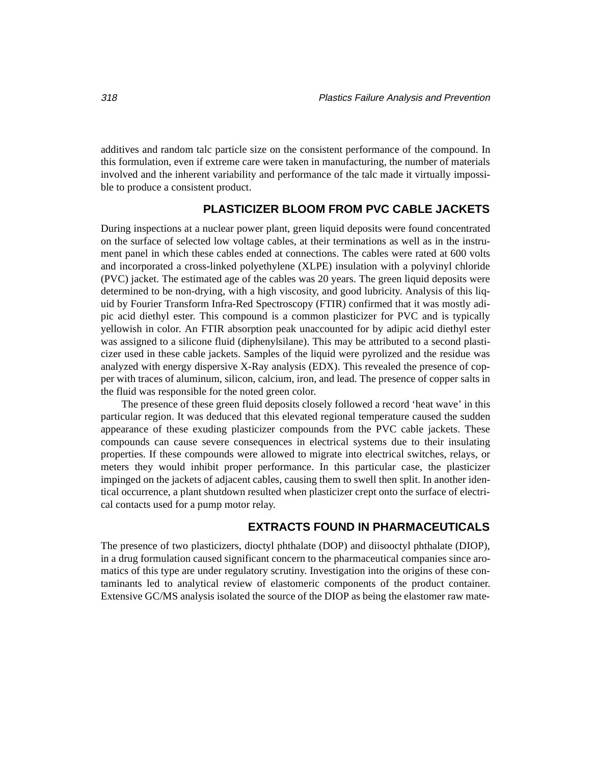additives and random talc particle size on the consistent performance of the compound. In this formulation, even if extreme care were taken in manufacturing, the number of materials involved and the inherent variability and performance of the talc made it virtually impossible to produce a consistent product.

# **PLASTICIZER BLOOM FROM PVC CABLE JACKETS**

During inspections at a nuclear power plant, green liquid deposits were found concentrated on the surface of selected low voltage cables, at their terminations as well as in the instrument panel in which these cables ended at connections. The cables were rated at 600 volts and incorporated a cross-linked polyethylene (XLPE) insulation with a polyvinyl chloride (PVC) jacket. The estimated age of the cables was 20 years. The green liquid deposits were determined to be non-drying, with a high viscosity, and good lubricity. Analysis of this liquid by Fourier Transform Infra-Red Spectroscopy (FTIR) confirmed that it was mostly adipic acid diethyl ester. This compound is a common plasticizer for PVC and is typically yellowish in color. An FTIR absorption peak unaccounted for by adipic acid diethyl ester was assigned to a silicone fluid (diphenylsilane). This may be attributed to a second plasticizer used in these cable jackets. Samples of the liquid were pyrolized and the residue was analyzed with energy dispersive X-Ray analysis (EDX). This revealed the presence of copper with traces of aluminum, silicon, calcium, iron, and lead. The presence of copper salts in the fluid was responsible for the noted green color.

The presence of these green fluid deposits closely followed a record 'heat wave' in this particular region. It was deduced that this elevated regional temperature caused the sudden appearance of these exuding plasticizer compounds from the PVC cable jackets. These compounds can cause severe consequences in electrical systems due to their insulating properties. If these compounds were allowed to migrate into electrical switches, relays, or meters they would inhibit proper performance. In this particular case, the plasticizer impinged on the jackets of adjacent cables, causing them to swell then split. In another identical occurrence, a plant shutdown resulted when plasticizer crept onto the surface of electrical contacts used for a pump motor relay.

#### **EXTRACTS FOUND IN PHARMACEUTICALS**

The presence of two plasticizers, dioctyl phthalate (DOP) and diisooctyl phthalate (DIOP), in a drug formulation caused significant concern to the pharmaceutical companies since aromatics of this type are under regulatory scrutiny. Investigation into the origins of these contaminants led to analytical review of elastomeric components of the product container. Extensive GC/MS analysis isolated the source of the DIOP as being the elastomer raw mate-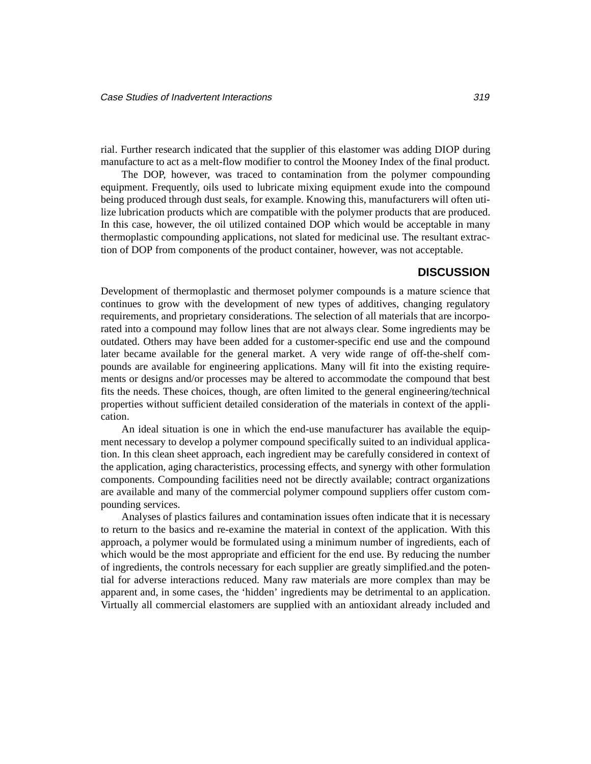rial. Further research indicated that the supplier of this elastomer was adding DIOP during manufacture to act as a melt-flow modifier to control the Mooney Index of the final product.

The DOP, however, was traced to contamination from the polymer compounding equipment. Frequently, oils used to lubricate mixing equipment exude into the compound being produced through dust seals, for example. Knowing this, manufacturers will often utilize lubrication products which are compatible with the polymer products that are produced. In this case, however, the oil utilized contained DOP which would be acceptable in many thermoplastic compounding applications, not slated for medicinal use. The resultant extraction of DOP from components of the product container, however, was not acceptable.

#### **DISCUSSION**

Development of thermoplastic and thermoset polymer compounds is a mature science that continues to grow with the development of new types of additives, changing regulatory requirements, and proprietary considerations. The selection of all materials that are incorporated into a compound may follow lines that are not always clear. Some ingredients may be outdated. Others may have been added for a customer-specific end use and the compound later became available for the general market. A very wide range of off-the-shelf compounds are available for engineering applications. Many will fit into the existing requirements or designs and/or processes may be altered to accommodate the compound that best fits the needs. These choices, though, are often limited to the general engineering/technical properties without sufficient detailed consideration of the materials in context of the application.

An ideal situation is one in which the end-use manufacturer has available the equipment necessary to develop a polymer compound specifically suited to an individual application. In this clean sheet approach, each ingredient may be carefully considered in context of the application, aging characteristics, processing effects, and synergy with other formulation components. Compounding facilities need not be directly available; contract organizations are available and many of the commercial polymer compound suppliers offer custom compounding services.

Analyses of plastics failures and contamination issues often indicate that it is necessary to return to the basics and re-examine the material in context of the application. With this approach, a polymer would be formulated using a minimum number of ingredients, each of which would be the most appropriate and efficient for the end use. By reducing the number of ingredients, the controls necessary for each supplier are greatly simplified.and the potential for adverse interactions reduced. Many raw materials are more complex than may be apparent and, in some cases, the 'hidden' ingredients may be detrimental to an application. Virtually all commercial elastomers are supplied with an antioxidant already included and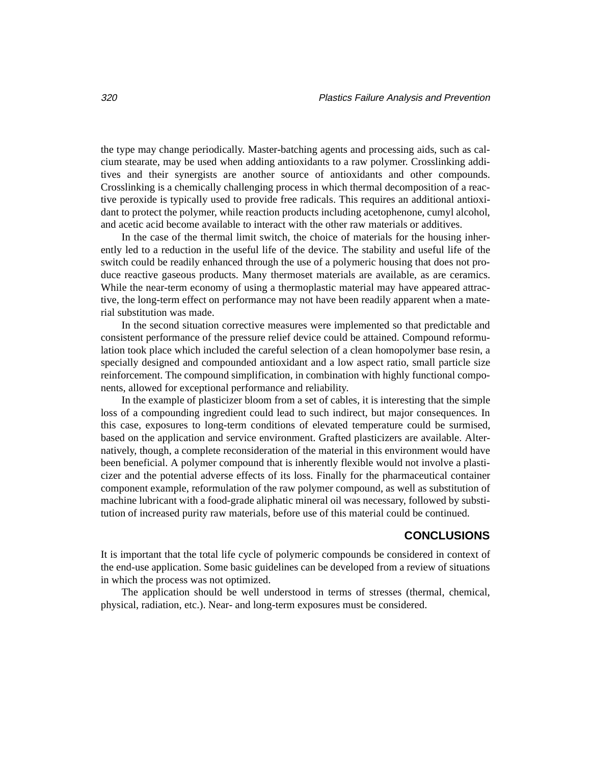the type may change periodically. Master-batching agents and processing aids, such as calcium stearate, may be used when adding antioxidants to a raw polymer. Crosslinking additives and their synergists are another source of antioxidants and other compounds. Crosslinking is a chemically challenging process in which thermal decomposition of a reactive peroxide is typically used to provide free radicals. This requires an additional antioxidant to protect the polymer, while reaction products including acetophenone, cumyl alcohol, and acetic acid become available to interact with the other raw materials or additives.

In the case of the thermal limit switch, the choice of materials for the housing inherently led to a reduction in the useful life of the device. The stability and useful life of the switch could be readily enhanced through the use of a polymeric housing that does not produce reactive gaseous products. Many thermoset materials are available, as are ceramics. While the near-term economy of using a thermoplastic material may have appeared attractive, the long-term effect on performance may not have been readily apparent when a material substitution was made.

In the second situation corrective measures were implemented so that predictable and consistent performance of the pressure relief device could be attained. Compound reformulation took place which included the careful selection of a clean homopolymer base resin, a specially designed and compounded antioxidant and a low aspect ratio, small particle size reinforcement. The compound simplification, in combination with highly functional components, allowed for exceptional performance and reliability.

In the example of plasticizer bloom from a set of cables, it is interesting that the simple loss of a compounding ingredient could lead to such indirect, but major consequences. In this case, exposures to long-term conditions of elevated temperature could be surmised, based on the application and service environment. Grafted plasticizers are available. Alternatively, though, a complete reconsideration of the material in this environment would have been beneficial. A polymer compound that is inherently flexible would not involve a plasticizer and the potential adverse effects of its loss. Finally for the pharmaceutical container component example, reformulation of the raw polymer compound, as well as substitution of machine lubricant with a food-grade aliphatic mineral oil was necessary, followed by substitution of increased purity raw materials, before use of this material could be continued.

### **CONCLUSIONS**

It is important that the total life cycle of polymeric compounds be considered in context of the end-use application. Some basic guidelines can be developed from a review of situations in which the process was not optimized.

The application should be well understood in terms of stresses (thermal, chemical, physical, radiation, etc.). Near- and long-term exposures must be considered.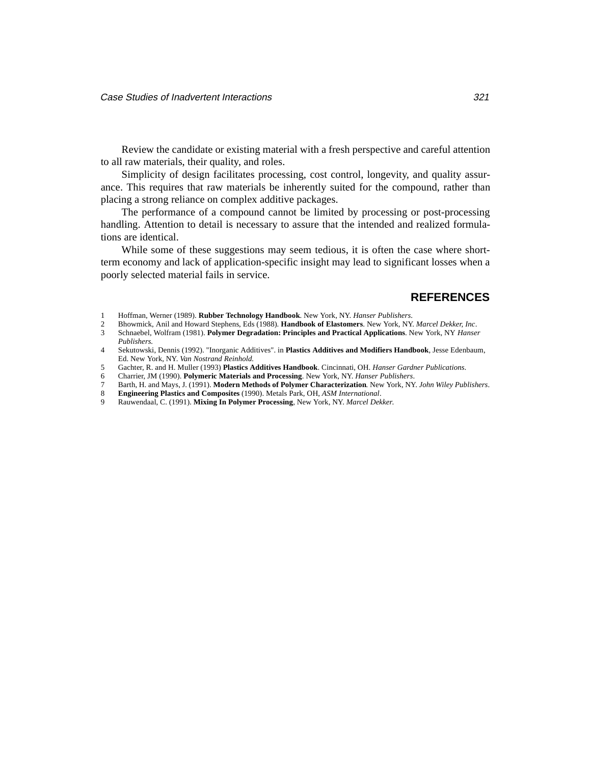Review the candidate or existing material with a fresh perspective and careful attention to all raw materials, their quality, and roles.

Simplicity of design facilitates processing, cost control, longevity, and quality assurance. This requires that raw materials be inherently suited for the compound, rather than placing a strong reliance on complex additive packages.

The performance of a compound cannot be limited by processing or post-processing handling. Attention to detail is necessary to assure that the intended and realized formulations are identical.

While some of these suggestions may seem tedious, it is often the case where shortterm economy and lack of application-specific insight may lead to significant losses when a poorly selected material fails in service.

#### **REFERENCES**

- 1 Hoffman, Werner (1989). **Rubber Technology Handbook**. New York, NY. *Hanser Publishers*.
- 2 Bhowmick, Anil and Howard Stephens, Eds (1988). **Handbook of Elastomers**. New York, NY. *Marcel Dekker, Inc*.
- 3 Schnaebel, Wolfram (1981). **Polymer Degradation: Principles and Practical Applications**. New York, NY *Hanser Publishers.*
- 4 Sekutowski, Dennis (1992). "Inorganic Additives". in **Plastics Additives and Modifiers Handbook**, Jesse Edenbaum, Ed. New York, NY. *Van Nostrand Reinhold.*
- 5 Gachter, R. and H. Muller (1993) **Plastics Additives Handbook**. Cincinnati, OH. *Hanser Gardner Publications*.
- 6 Charrier, JM (1990). **Polymeric Materials and Processing**. New York, NY. *Hanser Publishers*.
- 7 Barth, H. and Mays, J. (1991). **Modern Methods of Polymer Characterization***.* New York, NY. *John Wiley Publishers*.
- 8 **Engineering Plastics and Composites** (1990). Metals Park, OH, *ASM International*.
- 9 Rauwendaal, C. (1991). **Mixing In Polymer Processing***,* New York, NY. *Marcel Dekker*.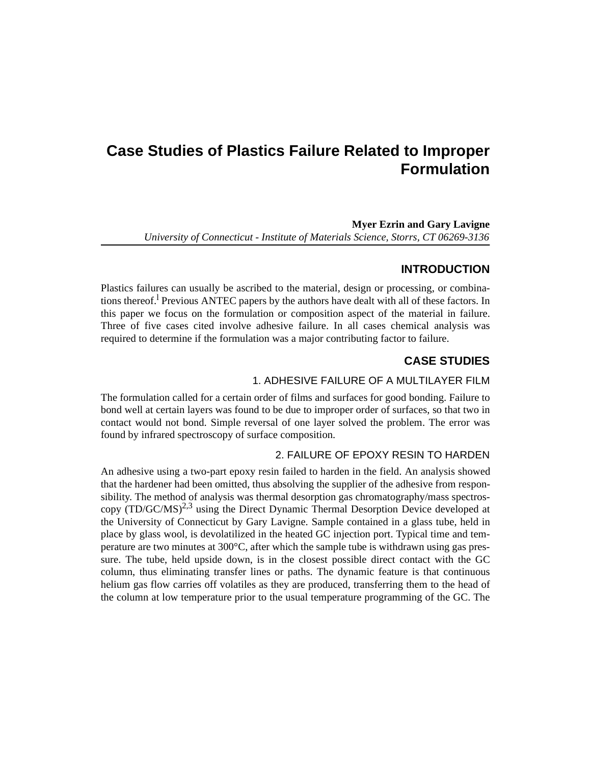# **Case Studies of Plastics Failure Related to Improper Formulation**

**Myer Ezrin and Gary Lavigne** *University of Connecticut - Institute of Materials Science, Storrs, CT 06269-3136*

# **INTRODUCTION**

Plastics failures can usually be ascribed to the material, design or processing, or combinations thereof.<sup>1</sup> Previous ANTEC papers by the authors have dealt with all of these factors. In this paper we focus on the formulation or composition aspect of the material in failure. Three of five cases cited involve adhesive failure. In all cases chemical analysis was required to determine if the formulation was a major contributing factor to failure.

# **CASE STUDIES**

#### 1. ADHESIVE FAILURE OF A MULTILAYER FILM

The formulation called for a certain order of films and surfaces for good bonding. Failure to bond well at certain layers was found to be due to improper order of surfaces, so that two in contact would not bond. Simple reversal of one layer solved the problem. The error was found by infrared spectroscopy of surface composition.

#### 2. FAILURE OF EPOXY RESIN TO HARDEN

An adhesive using a two-part epoxy resin failed to harden in the field. An analysis showed that the hardener had been omitted, thus absolving the supplier of the adhesive from responsibility. The method of analysis was thermal desorption gas chromatography/mass spectroscopy (TD/GC/MS)<sup>2,3</sup> using the Direct Dynamic Thermal Desorption Device developed at the University of Connecticut by Gary Lavigne. Sample contained in a glass tube, held in place by glass wool, is devolatilized in the heated GC injection port. Typical time and temperature are two minutes at 300°C, after which the sample tube is withdrawn using gas pressure. The tube, held upside down, is in the closest possible direct contact with the GC column, thus eliminating transfer lines or paths. The dynamic feature is that continuous helium gas flow carries off volatiles as they are produced, transferring them to the head of the column at low temperature prior to the usual temperature programming of the GC. The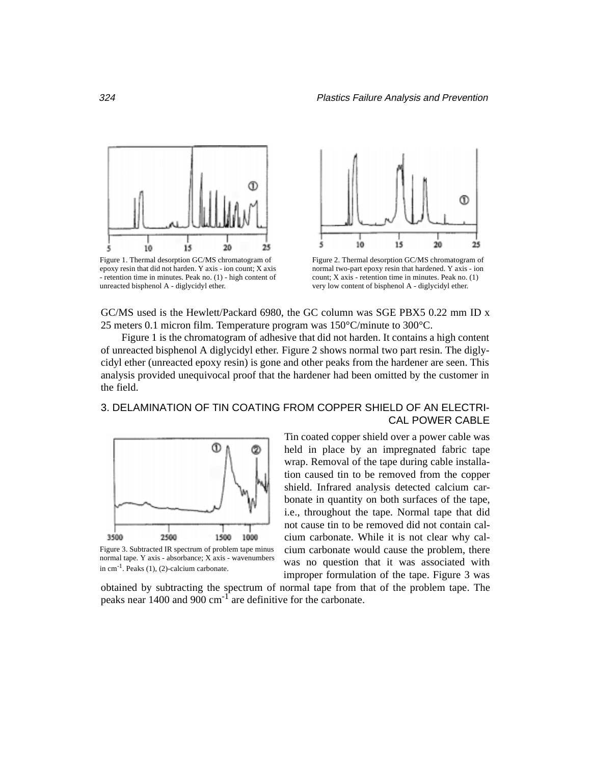

Figure 1. Thermal desorption GC/MS chromatogram of epoxy resin that did not harden. Y axis - ion count; X axis - retention time in minutes. Peak no. (1) - high content of unreacted bisphenol A - diglycidyl ether.



Figure 2. Thermal desorption GC/MS chromatogram of normal two-part epoxy resin that hardened. Y axis - ion count; X axis - retention time in minutes. Peak no. (1) very low content of bisphenol A - diglycidyl ether.

GC/MS used is the Hewlett/Packard 6980, the GC column was SGE PBX5 0.22 mm ID x 25 meters 0.1 micron film. Temperature program was 150°C/minute to 300°C.

Figure 1 is the chromatogram of adhesive that did not harden. It contains a high content of unreacted bisphenol A diglycidyl ether. Figure 2 shows normal two part resin. The diglycidyl ether (unreacted epoxy resin) is gone and other peaks from the hardener are seen. This analysis provided unequivocal proof that the hardener had been omitted by the customer in the field.

#### 3. DELAMINATION OF TIN COATING FROM COPPER SHIELD OF AN ELECTRI-CAL POWER CABLE



Figure 3. Subtracted IR spectrum of problem tape minus normal tape. Y axis - absorbance; X axis - wavenumbers in  $cm^{-1}$ . Peaks (1), (2)-calcium carbonate.

Tin coated copper shield over a power cable was held in place by an impregnated fabric tape wrap. Removal of the tape during cable installation caused tin to be removed from the copper shield. Infrared analysis detected calcium carbonate in quantity on both surfaces of the tape, i.e., throughout the tape. Normal tape that did not cause tin to be removed did not contain calcium carbonate. While it is not clear why calcium carbonate would cause the problem, there was no question that it was associated with improper formulation of the tape. Figure 3 was

obtained by subtracting the spectrum of normal tape from that of the problem tape. The peaks near 1400 and 900 cm-1 are definitive for the carbonate.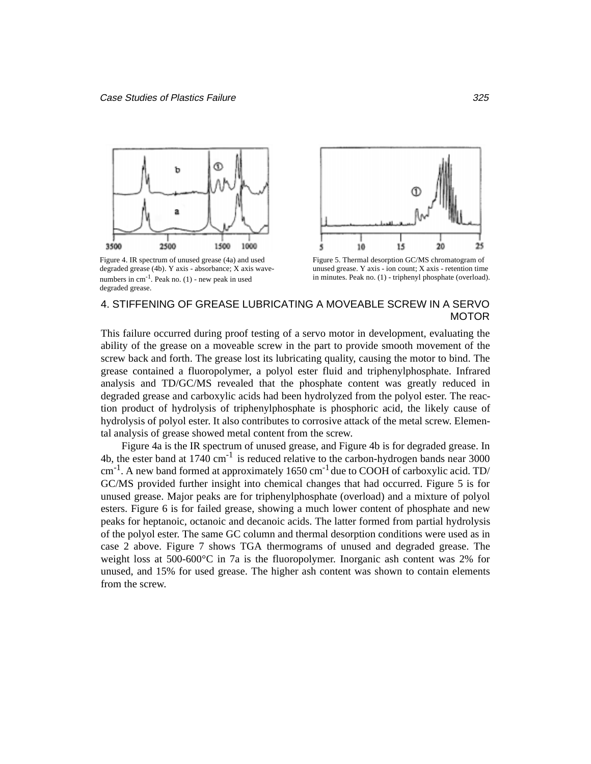

Figure 4. IR spectrum of unused grease (4a) and used degraded grease (4b). Y axis - absorbance; X axis wavenumbers in  $cm^{-1}$ . Peak no. (1) - new peak in used degraded grease.



Figure 5. Thermal desorption GC/MS chromatogram of unused grease. Y axis - ion count; X axis - retention time in minutes. Peak no. (1) - triphenyl phosphate (overload).

#### 4. STIFFENING OF GREASE LUBRICATING A MOVEABLE SCREW IN A SERVO MOTOR

This failure occurred during proof testing of a servo motor in development, evaluating the ability of the grease on a moveable screw in the part to provide smooth movement of the screw back and forth. The grease lost its lubricating quality, causing the motor to bind. The grease contained a fluoropolymer, a polyol ester fluid and triphenylphosphate. Infrared analysis and TD/GC/MS revealed that the phosphate content was greatly reduced in degraded grease and carboxylic acids had been hydrolyzed from the polyol ester. The reaction product of hydrolysis of triphenylphosphate is phosphoric acid, the likely cause of hydrolysis of polyol ester. It also contributes to corrosive attack of the metal screw. Elemental analysis of grease showed metal content from the screw.

Figure 4a is the IR spectrum of unused grease, and Figure 4b is for degraded grease. In 4b, the ester band at  $1740 \text{ cm}^{-1}$  is reduced relative to the carbon-hydrogen bands near 3000  $cm^{-1}$ . A new band formed at approximately 1650 cm<sup>-1</sup> due to COOH of carboxylic acid. TD/ GC/MS provided further insight into chemical changes that had occurred. Figure 5 is for unused grease. Major peaks are for triphenylphosphate (overload) and a mixture of polyol esters. Figure 6 is for failed grease, showing a much lower content of phosphate and new peaks for heptanoic, octanoic and decanoic acids. The latter formed from partial hydrolysis of the polyol ester. The same GC column and thermal desorption conditions were used as in case 2 above. Figure 7 shows TGA thermograms of unused and degraded grease. The weight loss at 500-600°C in 7a is the fluoropolymer. Inorganic ash content was 2% for unused, and 15% for used grease. The higher ash content was shown to contain elements from the screw.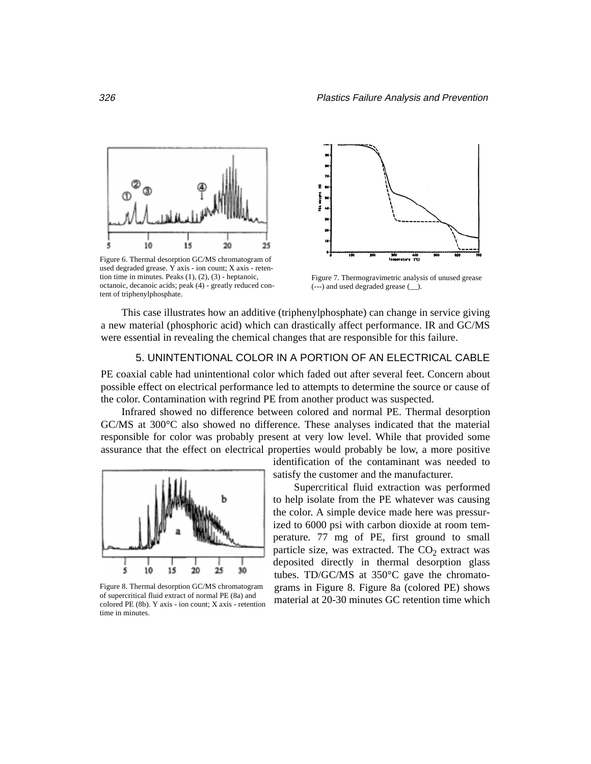

Figure 6. Thermal desorption GC/MS chromatogram of used degraded grease. Y axis - ion count; X axis - retention time in minutes. Peaks  $(1)$ ,  $(2)$ ,  $(3)$  - heptanoic, octanoic, decanoic acids; peak (4) - greatly reduced content of triphenylphosphate.



Figure 7. Thermogravimetric analysis of unused grease (---) and used degraded grease (\_\_).

This case illustrates how an additive (triphenylphosphate) can change in service giving a new material (phosphoric acid) which can drastically affect performance. IR and GC/MS were essential in revealing the chemical changes that are responsible for this failure.

## 5. UNINTENTIONAL COLOR IN A PORTION OF AN ELECTRICAL CABLE

PE coaxial cable had unintentional color which faded out after several feet. Concern about possible effect on electrical performance led to attempts to determine the source or cause of the color. Contamination with regrind PE from another product was suspected.

Infrared showed no difference between colored and normal PE. Thermal desorption GC/MS at 300°C also showed no difference. These analyses indicated that the material responsible for color was probably present at very low level. While that provided some assurance that the effect on electrical properties would probably be low, a more positive



Figure 8. Thermal desorption GC/MS chromatogram of supercritical fluid extract of normal PE (8a) and colored PE (8b). Y axis - ion count; X axis - retention time in minutes.

identification of the contaminant was needed to satisfy the customer and the manufacturer.

Supercritical fluid extraction was performed to help isolate from the PE whatever was causing the color. A simple device made here was pressurized to 6000 psi with carbon dioxide at room temperature. 77 mg of PE, first ground to small particle size, was extracted. The  $CO<sub>2</sub>$  extract was deposited directly in thermal desorption glass tubes. TD/GC/MS at 350°C gave the chromatograms in Figure 8. Figure 8a (colored PE) shows material at 20-30 minutes GC retention time which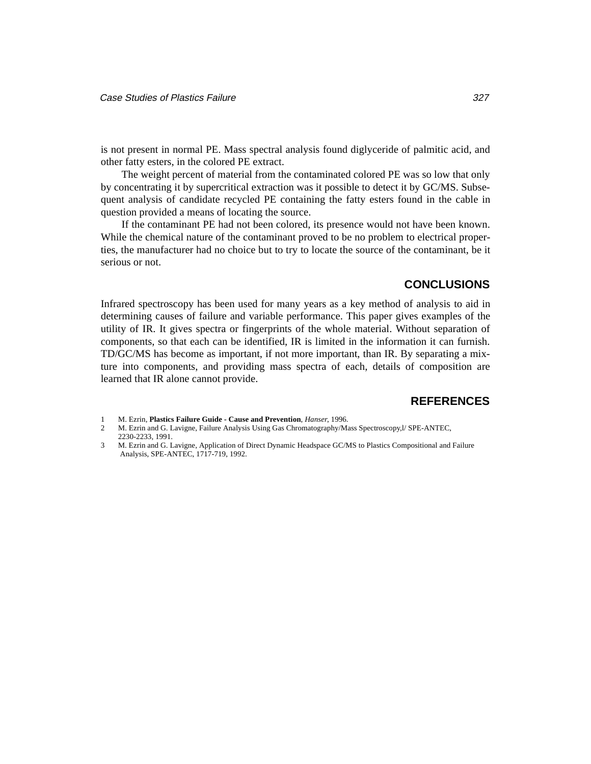is not present in normal PE. Mass spectral analysis found diglyceride of palmitic acid, and other fatty esters, in the colored PE extract.

The weight percent of material from the contaminated colored PE was so low that only by concentrating it by supercritical extraction was it possible to detect it by GC/MS. Subsequent analysis of candidate recycled PE containing the fatty esters found in the cable in question provided a means of locating the source.

If the contaminant PE had not been colored, its presence would not have been known. While the chemical nature of the contaminant proved to be no problem to electrical properties, the manufacturer had no choice but to try to locate the source of the contaminant, be it serious or not.

# **CONCLUSIONS**

Infrared spectroscopy has been used for many years as a key method of analysis to aid in determining causes of failure and variable performance. This paper gives examples of the utility of IR. It gives spectra or fingerprints of the whole material. Without separation of components, so that each can be identified, IR is limited in the information it can furnish. TD/GC/MS has become as important, if not more important, than IR. By separating a mixture into components, and providing mass spectra of each, details of composition are learned that IR alone cannot provide.

## **REFERENCES**

<sup>1</sup> M. Ezrin, **Plastics Failure Guide - Cause and Prevention**, *Hanser*, 1996.

<sup>2</sup> M. Ezrin and G. Lavigne, Failure Analysis Using Gas Chromatography/Mass Spectroscopy, I/ SPE-ANTEC, 2230-2233, 1991.

<sup>3</sup> M. Ezrin and G. Lavigne, Application of Direct Dynamic Headspace GC/MS to Plastics Compositional and Failure Analysis, SPE-ANTEC, 1717-719, 1992.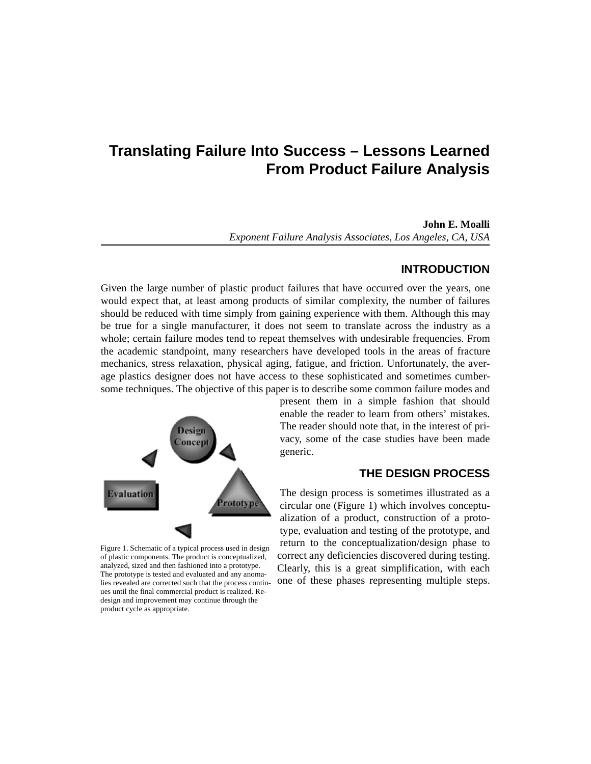# **Translating Failure Into Success – Lessons Learned From Product Failure Analysis**

**John E. Moalli** *Exponent Failure Analysis Associates, Los Angeles, CA, USA*

## **INTRODUCTION**

Given the large number of plastic product failures that have occurred over the years, one would expect that, at least among products of similar complexity, the number of failures should be reduced with time simply from gaining experience with them. Although this may be true for a single manufacturer, it does not seem to translate across the industry as a whole; certain failure modes tend to repeat themselves with undesirable frequencies. From the academic standpoint, many researchers have developed tools in the areas of fracture mechanics, stress relaxation, physical aging, fatigue, and friction. Unfortunately, the average plastics designer does not have access to these sophisticated and sometimes cumbersome techniques. The objective of this paper is to describe some common failure modes and



Figure 1. Schematic of a typical process used in design of plastic components. The product is conceptualized, analyzed, sized and then fashioned into a prototype. The prototype is tested and evaluated and any anomalies revealed are corrected such that the process continues until the final commercial product is realized. Redesign and improvement may continue through the product cycle as appropriate.

present them in a simple fashion that should enable the reader to learn from others' mistakes. The reader should note that, in the interest of privacy, some of the case studies have been made generic.

## **THE DESIGN PROCESS**

The design process is sometimes illustrated as a circular one (Figure 1) which involves conceptualization of a product, construction of a prototype, evaluation and testing of the prototype, and return to the conceptualization/design phase to correct any deficiencies discovered during testing. Clearly, this is a great simplification, with each one of these phases representing multiple steps.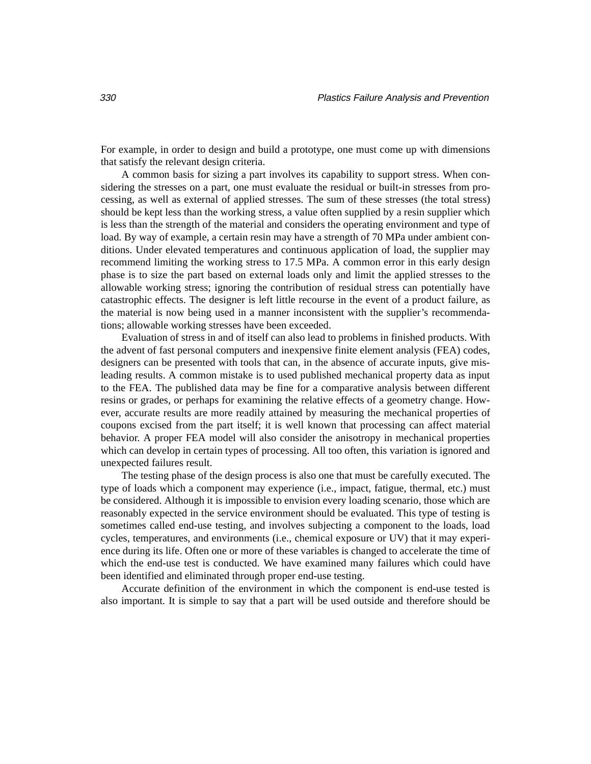For example, in order to design and build a prototype, one must come up with dimensions that satisfy the relevant design criteria.

A common basis for sizing a part involves its capability to support stress. When considering the stresses on a part, one must evaluate the residual or built-in stresses from processing, as well as external of applied stresses. The sum of these stresses (the total stress) should be kept less than the working stress, a value often supplied by a resin supplier which is less than the strength of the material and considers the operating environment and type of load. By way of example, a certain resin may have a strength of 70 MPa under ambient conditions. Under elevated temperatures and continuous application of load, the supplier may recommend limiting the working stress to 17.5 MPa. A common error in this early design phase is to size the part based on external loads only and limit the applied stresses to the allowable working stress; ignoring the contribution of residual stress can potentially have catastrophic effects. The designer is left little recourse in the event of a product failure, as the material is now being used in a manner inconsistent with the supplier's recommendations; allowable working stresses have been exceeded.

Evaluation of stress in and of itself can also lead to problems in finished products. With the advent of fast personal computers and inexpensive finite element analysis (FEA) codes, designers can be presented with tools that can, in the absence of accurate inputs, give misleading results. A common mistake is to used published mechanical property data as input to the FEA. The published data may be fine for a comparative analysis between different resins or grades, or perhaps for examining the relative effects of a geometry change. However, accurate results are more readily attained by measuring the mechanical properties of coupons excised from the part itself; it is well known that processing can affect material behavior. A proper FEA model will also consider the anisotropy in mechanical properties which can develop in certain types of processing. All too often, this variation is ignored and unexpected failures result.

The testing phase of the design process is also one that must be carefully executed. The type of loads which a component may experience (i.e., impact, fatigue, thermal, etc.) must be considered. Although it is impossible to envision every loading scenario, those which are reasonably expected in the service environment should be evaluated. This type of testing is sometimes called end-use testing, and involves subjecting a component to the loads, load cycles, temperatures, and environments (i.e., chemical exposure or UV) that it may experience during its life. Often one or more of these variables is changed to accelerate the time of which the end-use test is conducted. We have examined many failures which could have been identified and eliminated through proper end-use testing.

Accurate definition of the environment in which the component is end-use tested is also important. It is simple to say that a part will be used outside and therefore should be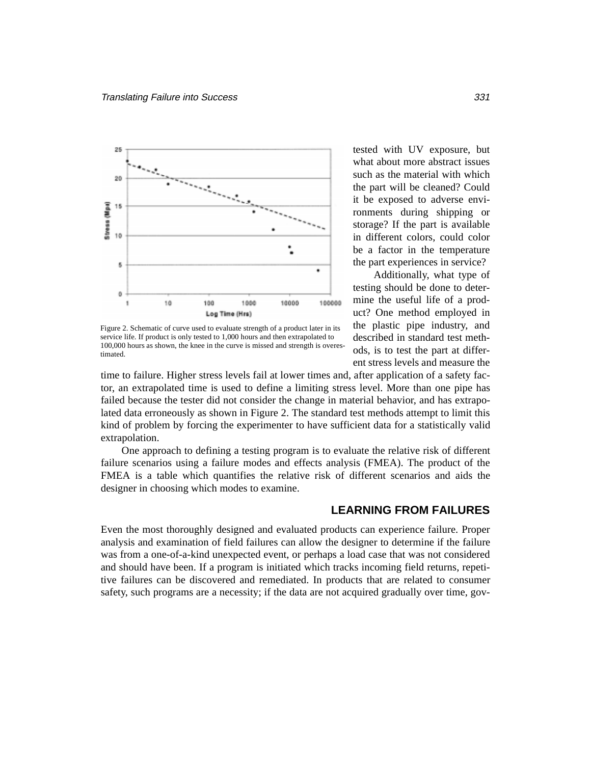

Figure 2. Schematic of curve used to evaluate strength of a product later in its service life. If product is only tested to 1,000 hours and then extrapolated to 100,000 hours as shown, the knee in the curve is missed and strength is overestimated.

tested with UV exposure, but what about more abstract issues such as the material with which the part will be cleaned? Could it be exposed to adverse environments during shipping or storage? If the part is available in different colors, could color be a factor in the temperature the part experiences in service?

Additionally, what type of testing should be done to determine the useful life of a product? One method employed in the plastic pipe industry, and described in standard test methods, is to test the part at different stress levels and measure the

time to failure. Higher stress levels fail at lower times and, after application of a safety factor, an extrapolated time is used to define a limiting stress level. More than one pipe has failed because the tester did not consider the change in material behavior, and has extrapolated data erroneously as shown in Figure 2. The standard test methods attempt to limit this kind of problem by forcing the experimenter to have sufficient data for a statistically valid extrapolation.

One approach to defining a testing program is to evaluate the relative risk of different failure scenarios using a failure modes and effects analysis (FMEA). The product of the FMEA is a table which quantifies the relative risk of different scenarios and aids the designer in choosing which modes to examine.

#### **LEARNING FROM FAILURES**

Even the most thoroughly designed and evaluated products can experience failure. Proper analysis and examination of field failures can allow the designer to determine if the failure was from a one-of-a-kind unexpected event, or perhaps a load case that was not considered and should have been. If a program is initiated which tracks incoming field returns, repetitive failures can be discovered and remediated. In products that are related to consumer safety, such programs are a necessity; if the data are not acquired gradually over time, gov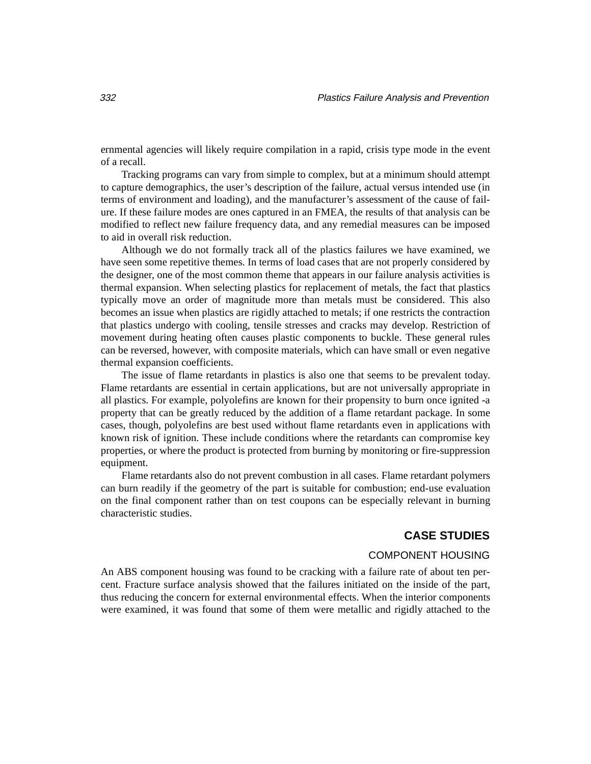ernmental agencies will likely require compilation in a rapid, crisis type mode in the event of a recall.

Tracking programs can vary from simple to complex, but at a minimum should attempt to capture demographics, the user's description of the failure, actual versus intended use (in terms of environment and loading), and the manufacturer's assessment of the cause of failure. If these failure modes are ones captured in an FMEA, the results of that analysis can be modified to reflect new failure frequency data, and any remedial measures can be imposed to aid in overall risk reduction.

Although we do not formally track all of the plastics failures we have examined, we have seen some repetitive themes. In terms of load cases that are not properly considered by the designer, one of the most common theme that appears in our failure analysis activities is thermal expansion. When selecting plastics for replacement of metals, the fact that plastics typically move an order of magnitude more than metals must be considered. This also becomes an issue when plastics are rigidly attached to metals; if one restricts the contraction that plastics undergo with cooling, tensile stresses and cracks may develop. Restriction of movement during heating often causes plastic components to buckle. These general rules can be reversed, however, with composite materials, which can have small or even negative thermal expansion coefficients.

The issue of flame retardants in plastics is also one that seems to be prevalent today. Flame retardants are essential in certain applications, but are not universally appropriate in all plastics. For example, polyolefins are known for their propensity to burn once ignited -a property that can be greatly reduced by the addition of a flame retardant package. In some cases, though, polyolefins are best used without flame retardants even in applications with known risk of ignition. These include conditions where the retardants can compromise key properties, or where the product is protected from burning by monitoring or fire-suppression equipment.

Flame retardants also do not prevent combustion in all cases. Flame retardant polymers can burn readily if the geometry of the part is suitable for combustion; end-use evaluation on the final component rather than on test coupons can be especially relevant in burning characteristic studies.

#### **CASE STUDIES**

#### COMPONENT HOUSING

An ABS component housing was found to be cracking with a failure rate of about ten percent. Fracture surface analysis showed that the failures initiated on the inside of the part, thus reducing the concern for external environmental effects. When the interior components were examined, it was found that some of them were metallic and rigidly attached to the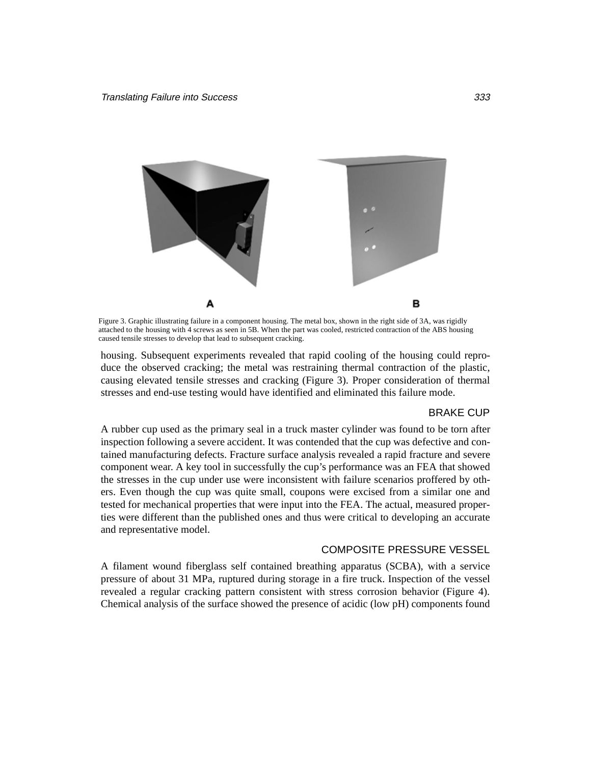

Figure 3. Graphic illustrating failure in a component housing. The metal box, shown in the right side of 3A, was rigidly attached to the housing with 4 screws as seen in 5B. When the part was cooled, restricted contraction of the ABS housing caused tensile stresses to develop that lead to subsequent cracking.

housing. Subsequent experiments revealed that rapid cooling of the housing could reproduce the observed cracking; the metal was restraining thermal contraction of the plastic, causing elevated tensile stresses and cracking (Figure 3). Proper consideration of thermal stresses and end-use testing would have identified and eliminated this failure mode.

#### BRAKE CUP

A rubber cup used as the primary seal in a truck master cylinder was found to be torn after inspection following a severe accident. It was contended that the cup was defective and contained manufacturing defects. Fracture surface analysis revealed a rapid fracture and severe component wear. A key tool in successfully the cup's performance was an FEA that showed the stresses in the cup under use were inconsistent with failure scenarios proffered by others. Even though the cup was quite small, coupons were excised from a similar one and tested for mechanical properties that were input into the FEA. The actual, measured properties were different than the published ones and thus were critical to developing an accurate and representative model.

#### COMPOSITE PRESSURE VESSEL

A filament wound fiberglass self contained breathing apparatus (SCBA), with a service pressure of about 31 MPa, ruptured during storage in a fire truck. Inspection of the vessel revealed a regular cracking pattern consistent with stress corrosion behavior (Figure 4). Chemical analysis of the surface showed the presence of acidic (low pH) components found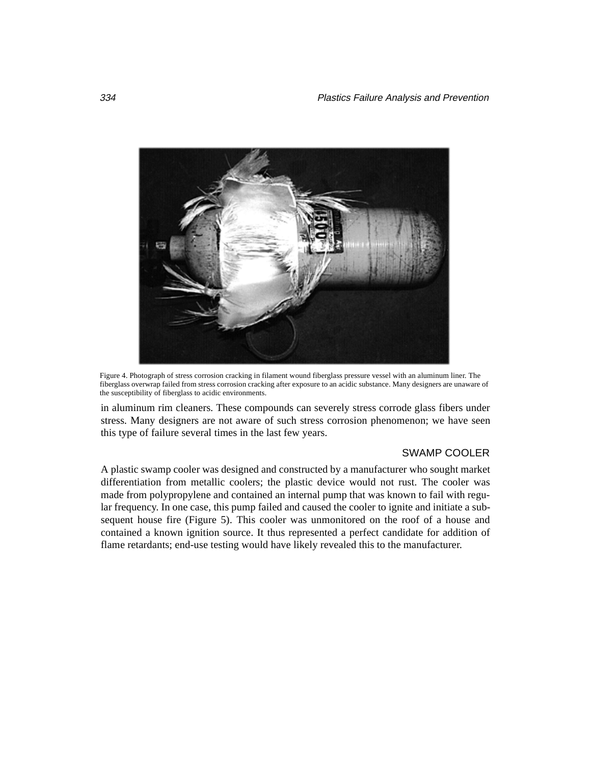

Figure 4. Photograph of stress corrosion cracking in filament wound fiberglass pressure vessel with an aluminum liner. The fiberglass overwrap failed from stress corrosion cracking after exposure to an acidic substance. Many designers are unaware of the susceptibility of fiberglass to acidic environments.

in aluminum rim cleaners. These compounds can severely stress corrode glass fibers under stress. Many designers are not aware of such stress corrosion phenomenon; we have seen this type of failure several times in the last few years.

#### SWAMP COOLER

A plastic swamp cooler was designed and constructed by a manufacturer who sought market differentiation from metallic coolers; the plastic device would not rust. The cooler was made from polypropylene and contained an internal pump that was known to fail with regular frequency. In one case, this pump failed and caused the cooler to ignite and initiate a subsequent house fire (Figure 5). This cooler was unmonitored on the roof of a house and contained a known ignition source. It thus represented a perfect candidate for addition of flame retardants; end-use testing would have likely revealed this to the manufacturer.